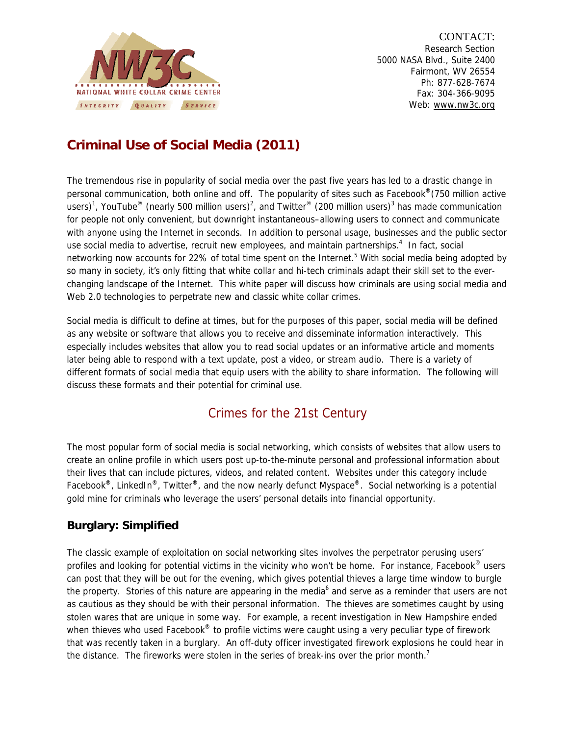

CONTACT: Research Section 5000 NASA Blvd., Suite 2400 Fairmont, WV 26554 Ph: 877-628-7674 Fax: 304-366-9095 Web: www.nw3c.org

## **Criminal Use of Social Media (2011)**

The tremendous rise in popularity of social media over the past five years has led to a drastic change in personal communication, both online and off. The popularity of sites such as Facebook®(750 million active users)<sup>1</sup>, YouTube® (nearly 500 million users)<sup>2</sup>, and Twitter® (200 million users)<sup>3</sup> has made communication for people not only convenient, but downright instantaneous–allowing users to connect and communicate with anyone using the Internet in seconds. In addition to personal usage, businesses and the public sector use social media to advertise, recruit new employees, and maintain partnerships.<sup>4</sup> In fact, social networking now accounts for 22% of total time spent on the Internet.<sup>5</sup> With social media being adopted by so many in society, it's only fitting that white collar and hi-tech criminals adapt their skill set to the everchanging landscape of the Internet. This white paper will discuss how criminals are using social media and Web 2.0 technologies to perpetrate new and classic white collar crimes.

Social media is difficult to define at times, but for the purposes of this paper, social media will be defined as any website or software that allows you to receive and disseminate information interactively. This especially includes websites that allow you to read social updates or an informative article and moments later being able to respond with a text update, post a video, or stream audio. There is a variety of different formats of social media that equip users with the ability to share information. The following will discuss these formats and their potential for criminal use.

## Crimes for the 21st Century

The most popular form of social media is social networking, which consists of websites that allow users to create an online profile in which users post up-to-the-minute personal and professional information about their lives that can include pictures, videos, and related content. Websites under this category include Facebook<sup>®</sup>, LinkedIn<sup>®</sup>, Twitter<sup>®</sup>, and the now nearly defunct Myspace<sup>®</sup>. Social networking is a potential gold mine for criminals who leverage the users' personal details into financial opportunity.

### **Burglary: Simplified**

The classic example of exploitation on social networking sites involves the perpetrator perusing users' profiles and looking for potential victims in the vicinity who won't be home. For instance, Facebook<sup>®</sup> users can post that they will be out for the evening, which gives potential thieves a large time window to burgle the property. Stories of this nature are appearing in the media<sup>6</sup> and serve as a reminder that users are not as cautious as they should be with their personal information. The thieves are sometimes caught by using stolen wares that are unique in some way. For example, a recent investigation in New Hampshire ended when thieves who used Facebook<sup>®</sup> to profile victims were caught using a very peculiar type of firework that was recently taken in a burglary. An off-duty officer investigated firework explosions he could hear in the distance. The fireworks were stolen in the series of break-ins over the prior month.<sup>7</sup>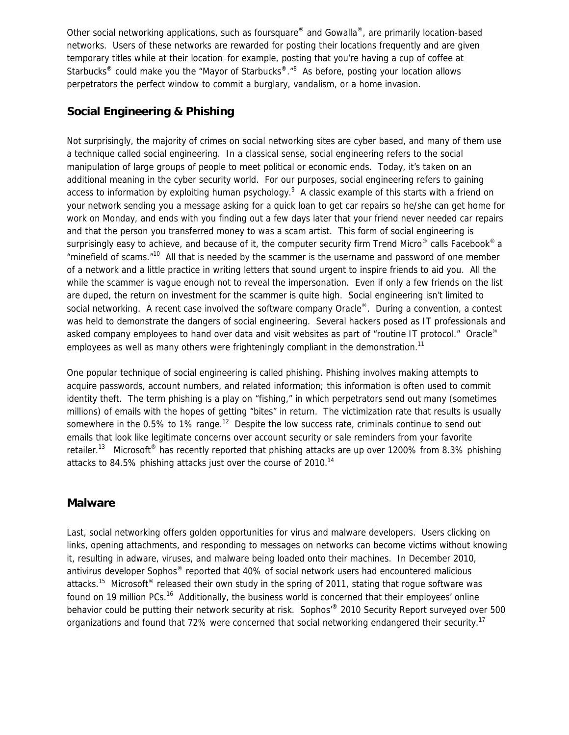Other social networking applications, such as foursquare® and Gowalla®, are primarily location-based networks. Users of these networks are rewarded for posting their locations frequently and are given temporary titles while at their location–for example, posting that you're having a cup of coffee at Starbucks<sup>®</sup> could make you the "Mayor of Starbucks<sup>®</sup>."<sup>8</sup> As before, posting your location allows perpetrators the perfect window to commit a burglary, vandalism, or a home invasion.

#### **Social Engineering & Phishing**

Not surprisingly, the majority of crimes on social networking sites are cyber based, and many of them use a technique called social engineering. In a classical sense, social engineering refers to the social manipulation of large groups of people to meet political or economic ends. Today, it's taken on an additional meaning in the cyber security world. For our purposes, social engineering refers to gaining access to information by exploiting human psychology.<sup>9</sup> A classic example of this starts with a friend on your network sending you a message asking for a quick loan to get car repairs so he/she can get home for work on Monday, and ends with you finding out a few days later that your friend never needed car repairs and that the person you transferred money to was a scam artist. This form of social engineering is surprisingly easy to achieve, and because of it, the computer security firm Trend Micro<sup>®</sup> calls Facebook<sup>®</sup> a "minefield of scams."10 All that is needed by the scammer is the username and password of one member of a network and a little practice in writing letters that sound urgent to inspire friends to aid you. All the while the scammer is vague enough not to reveal the impersonation. Even if only a few friends on the list are duped, the return on investment for the scammer is quite high. Social engineering isn't limited to social networking. A recent case involved the software company Oracle®. During a convention, a contest was held to demonstrate the dangers of social engineering. Several hackers posed as IT professionals and asked company employees to hand over data and visit websites as part of "routine IT protocol." Oracle<sup>®</sup> employees as well as many others were frighteningly compliant in the demonstration.<sup>11</sup>

One popular technique of social engineering is called phishing. Phishing involves making attempts to acquire passwords, account numbers, and related information; this information is often used to commit identity theft. The term phishing is a play on "fishing," in which perpetrators send out many (sometimes millions) of emails with the hopes of getting "bites" in return. The victimization rate that results is usually somewhere in the 0.5% to 1% range.<sup>12</sup> Despite the low success rate, criminals continue to send out emails that look like legitimate concerns over account security or sale reminders from your favorite retailer.<sup>13</sup> Microsoft<sup>®</sup> has recently reported that phishing attacks are up over 1200% from 8.3% phishing attacks to 84.5% phishing attacks just over the course of 2010.<sup>14</sup>

#### **Malware**

Last, social networking offers golden opportunities for virus and malware developers. Users clicking on links, opening attachments, and responding to messages on networks can become victims without knowing it, resulting in adware, viruses, and malware being loaded onto their machines. In December 2010, antivirus developer Sophos® reported that 40% of social network users had encountered malicious attacks.<sup>15</sup> Microsoft<sup>®</sup> released their own study in the spring of 2011, stating that roque software was found on 19 million PCs.<sup>16</sup> Additionally, the business world is concerned that their employees' online behavior could be putting their network security at risk. Sophos'® 2010 Security Report surveyed over 500 organizations and found that 72% were concerned that social networking endangered their security.<sup>17</sup>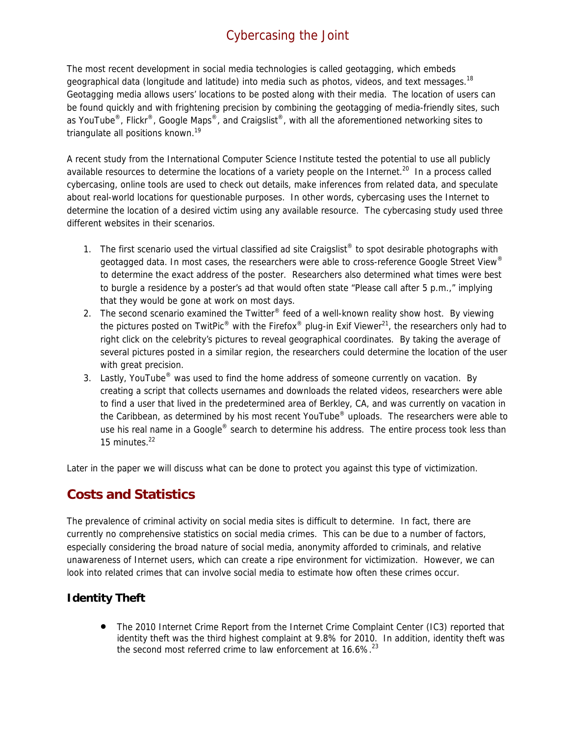# Cybercasing the Joint

The most recent development in social media technologies is called geotagging, which embeds geographical data (longitude and latitude) into media such as photos, videos, and text messages.<sup>18</sup> Geotagging media allows users' locations to be posted along with their media. The location of users can be found quickly and with frightening precision by combining the geotagging of media-friendly sites, such as YouTube<sup>®</sup>, Flickr<sup>®</sup>, Google Maps<sup>®</sup>, and Craigslist<sup>®</sup>, with all the aforementioned networking sites to triangulate all positions known.<sup>19</sup>

A recent study from the International Computer Science Institute tested the potential to use all publicly available resources to determine the locations of a variety people on the Internet.<sup>20</sup> In a process called cybercasing, online tools are used to check out details, make inferences from related data, and speculate about real-world locations for questionable purposes. In other words, cybercasing uses the Internet to determine the location of a desired victim using any available resource. The cybercasing study used three different websites in their scenarios.

- 1. The first scenario used the virtual classified ad site Craigslist<sup>®</sup> to spot desirable photographs with geotagged data. In most cases, the researchers were able to cross-reference Google Street View® to determine the exact address of the poster. Researchers also determined what times were best to burgle a residence by a poster's ad that would often state "Please call after 5 p.m.," implying that they would be gone at work on most days.
- 2. The second scenario examined the Twitter® feed of a well-known reality show host. By viewing the pictures posted on TwitPic® with the Firefox® plug-in Exif Viewer $^{21}$ , the researchers only had to right click on the celebrity's pictures to reveal geographical coordinates. By taking the average of several pictures posted in a similar region, the researchers could determine the location of the user with great precision.
- 3. Lastly, YouTube<sup>®</sup> was used to find the home address of someone currently on vacation. By creating a script that collects usernames and downloads the related videos, researchers were able to find a user that lived in the predetermined area of Berkley, CA, and was currently on vacation in the Caribbean, as determined by his most recent YouTube<sup>®</sup> uploads. The researchers were able to use his real name in a Google® search to determine his address. The entire process took less than 15 minutes. $22$

Later in the paper we will discuss what can be done to protect you against this type of victimization.

## **Costs and Statistics**

The prevalence of criminal activity on social media sites is difficult to determine. In fact, there are currently no comprehensive statistics on social media crimes. This can be due to a number of factors, especially considering the broad nature of social media, anonymity afforded to criminals, and relative unawareness of Internet users, which can create a ripe environment for victimization. However, we can look into related crimes that can involve social media to estimate how often these crimes occur.

#### **Identity Theft**

• The 2010 Internet Crime Report from the Internet Crime Complaint Center (IC3) reported that identity theft was the third highest complaint at 9.8% for 2010. In addition, identity theft was the second most referred crime to law enforcement at  $16.6\%$ <sup>23</sup>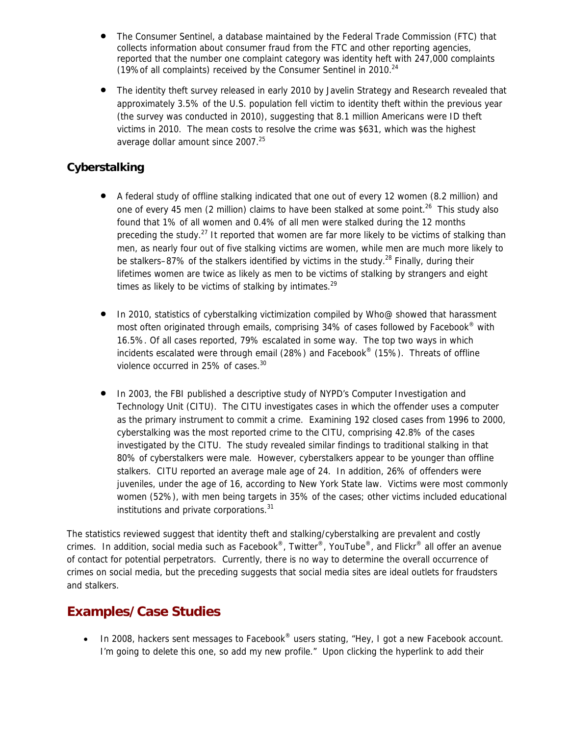- The Consumer Sentinel, a database maintained by the Federal Trade Commission (FTC) that collects information about consumer fraud from the FTC and other reporting agencies, reported that the number one complaint category was identity heft with 247,000 complaints (19%of all complaints) received by the Consumer Sentinel in 2010. $^{24}$
- The identity theft survey released in early 2010 by Javelin Strategy and Research revealed that approximately 3.5% of the U.S. population fell victim to identity theft within the previous year (the survey was conducted in 2010), suggesting that 8.1 million Americans were ID theft victims in 2010. The mean costs to resolve the crime was \$631, which was the highest average dollar amount since 2007.<sup>25</sup>

### **Cyberstalking**

- A federal study of offline stalking indicated that one out of every 12 women (8.2 million) and one of every 45 men (2 million) claims to have been stalked at some point.<sup>26</sup> This study also found that 1% of all women and 0.4% of all men were stalked during the 12 months preceding the study.<sup>27</sup> It reported that women are far more likely to be victims of stalking than men, as nearly four out of five stalking victims are women, while men are much more likely to be stalkers–87% of the stalkers identified by victims in the study.<sup>28</sup> Finally, during their lifetimes women are twice as likely as men to be victims of stalking by strangers and eight times as likely to be victims of stalking by intimates. $29$
- In 2010, statistics of cyberstalking victimization compiled by Who@ showed that harassment most often originated through emails, comprising 34% of cases followed by Facebook<sup>®</sup> with 16.5%. Of all cases reported, 79% escalated in some way. The top two ways in which incidents escalated were through email (28%) and Facebook® (15%). Threats of offline violence occurred in 25% of cases.<sup>30</sup>
- In 2003, the FBI published a descriptive study of NYPD's Computer Investigation and Technology Unit (CITU). The CITU investigates cases in which the offender uses a computer as the primary instrument to commit a crime. Examining 192 closed cases from 1996 to 2000, cyberstalking was the most reported crime to the CITU, comprising 42.8% of the cases investigated by the CITU. The study revealed similar findings to traditional stalking in that 80% of cyberstalkers were male. However, cyberstalkers appear to be younger than offline stalkers. CITU reported an average male age of 24. In addition, 26% of offenders were juveniles, under the age of 16, according to New York State law. Victims were most commonly women (52%), with men being targets in 35% of the cases; other victims included educational institutions and private corporations.<sup>31</sup>

The statistics reviewed suggest that identity theft and stalking/cyberstalking are prevalent and costly crimes. In addition, social media such as Facebook®, Twitter®, YouTube®, and Flickr® all offer an avenue of contact for potential perpetrators. Currently, there is no way to determine the overall occurrence of crimes on social media, but the preceding suggests that social media sites are ideal outlets for fraudsters and stalkers.

### **Examples/Case Studies**

• In 2008, hackers sent messages to Facebook<sup>®</sup> users stating, "Hey, I got a new Facebook account. I'm going to delete this one, so add my new profile." Upon clicking the hyperlink to add their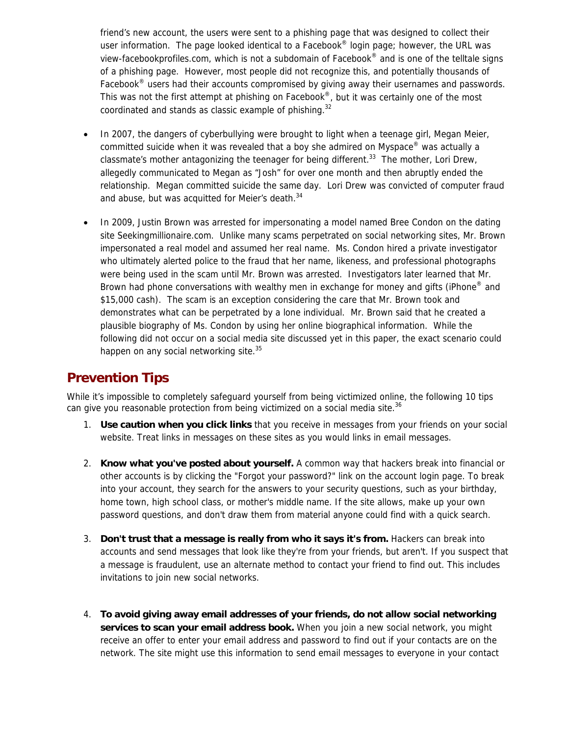friend's new account, the users were sent to a phishing page that was designed to collect their user information. The page looked identical to a Facebook® login page; however, the URL was view-facebookprofiles.com, which is not a subdomain of Facebook® and is one of the telltale signs of a phishing page. However, most people did not recognize this, and potentially thousands of Facebook<sup>®</sup> users had their accounts compromised by giving away their usernames and passwords. This was not the first attempt at phishing on Facebook®, but it was certainly one of the most coordinated and stands as classic example of phishing.<sup>32</sup>

- In 2007, the dangers of cyberbullying were brought to light when a teenage girl, Megan Meier, committed suicide when it was revealed that a boy she admired on Myspace® was actually a classmate's mother antagonizing the teenager for being different.<sup>33</sup> The mother, Lori Drew. allegedly communicated to Megan as "Josh" for over one month and then abruptly ended the relationship. Megan committed suicide the same day. Lori Drew was convicted of computer fraud and abuse, but was acquitted for Meier's death.<sup>34</sup>
- In 2009, Justin Brown was arrested for impersonating a model named Bree Condon on the dating site Seekingmillionaire.com. Unlike many scams perpetrated on social networking sites, Mr. Brown impersonated a real model and assumed her real name. Ms. Condon hired a private investigator who ultimately alerted police to the fraud that her name, likeness, and professional photographs were being used in the scam until Mr. Brown was arrested. Investigators later learned that Mr. Brown had phone conversations with wealthy men in exchange for money and gifts (iPhone<sup>®</sup> and \$15,000 cash). The scam is an exception considering the care that Mr. Brown took and demonstrates what can be perpetrated by a lone individual. Mr. Brown said that he created a plausible biography of Ms. Condon by using her online biographical information. While the following did not occur on a social media site discussed yet in this paper, the exact scenario could happen on any social networking site.<sup>35</sup>

### **Prevention Tips**

While it's impossible to completely safeguard yourself from being victimized online, the following 10 tips can give you reasonable protection from being victimized on a social media site.<sup>36</sup>

- 1. **Use caution when you click links** that you receive in messages from your friends on your social website. Treat links in messages on these sites as you would links in email messages.
- 2. **Know what you've posted about yourself.** A common way that hackers break into financial or other accounts is by clicking the "Forgot your password?" link on the account login page. To break into your account, they search for the answers to your security questions, such as your birthday, home town, high school class, or mother's middle name. If the site allows, make up your own password questions, and don't draw them from material anyone could find with a quick search.
- 3. **Don't trust that a message is really from who it says it's from.** Hackers can break into accounts and send messages that look like they're from your friends, but aren't. If you suspect that a message is fraudulent, use an alternate method to contact your friend to find out. This includes invitations to join new social networks.
- 4. **To avoid giving away email addresses of your friends, do not allow social networking services to scan your email address book.** When you join a new social network, you might receive an offer to enter your email address and password to find out if your contacts are on the network. The site might use this information to send email messages to everyone in your contact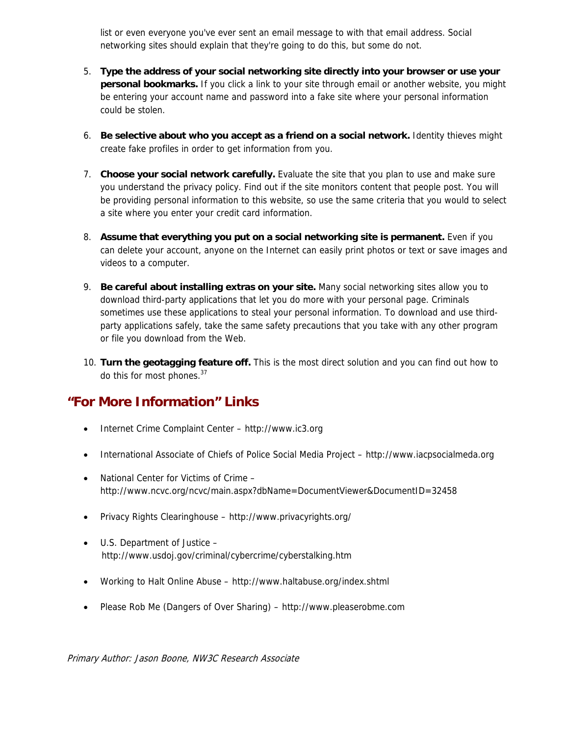list or even everyone you've ever sent an email message to with that email address. Social networking sites should explain that they're going to do this, but some do not.

- 5. **Type the address of your social networking site directly into your browser or use your personal bookmarks.** If you click a link to your site through email or another website, you might be entering your account name and password into a fake site where your personal information could be stolen.
- 6. **Be selective about who you accept as a friend on a social network.** Identity thieves might create fake profiles in order to get information from you.
- 7. **Choose your social network carefully.** Evaluate the site that you plan to use and make sure you understand the privacy policy. Find out if the site monitors content that people post. You will be providing personal information to this website, so use the same criteria that you would to select a site where you enter your credit card information.
- 8. **Assume that everything you put on a social networking site is permanent.** Even if you can delete your account, anyone on the Internet can easily print photos or text or save images and videos to a computer.
- 9. **Be careful about installing extras on your site.** Many social networking sites allow you to download third-party applications that let you do more with your personal page. Criminals sometimes use these applications to steal your personal information. To download and use thirdparty applications safely, take the same safety precautions that you take with any other program or file you download from the Web.
- 10. **Turn the geotagging feature off.** This is the most direct solution and you can find out how to do this for most phones.<sup>37</sup>

## **"For More Information" Links**

- Internet Crime Complaint Center http://www.ic3.org
- International Associate of Chiefs of Police Social Media Project http://www.iacpsocialmeda.org
- National Center for Victims of Crime http://www.ncvc.org/ncvc/main.aspx?dbName=DocumentViewer&DocumentID=32458
- Privacy Rights Clearinghouse http://www.privacyrights.org/
- U.S. Department of Justice http://www.usdoj.gov/criminal/cybercrime/cyberstalking.htm
- Working to Halt Online Abuse http://www.haltabuse.org/index.shtml
- Please Rob Me (Dangers of Over Sharing) http://www.pleaserobme.com

Primary Author: Jason Boone, NW3C Research Associate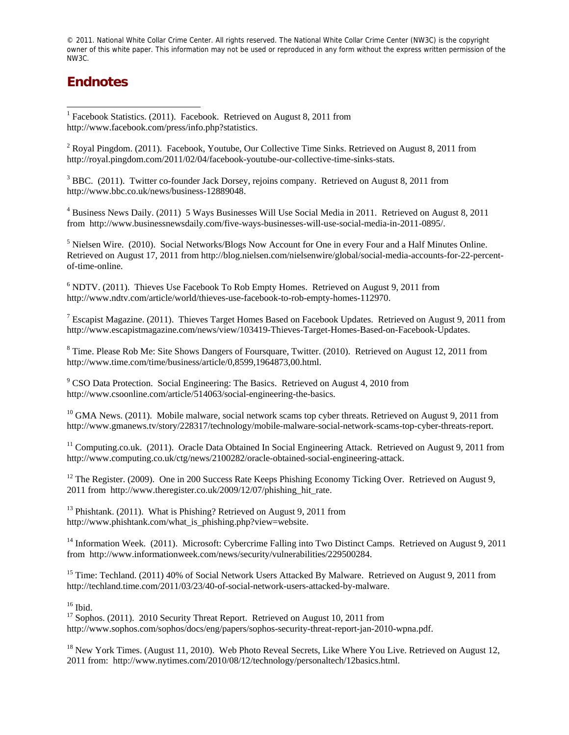© 2011. National White Collar Crime Center. All rights reserved. The National White Collar Crime Center (NW3C) is the copyright owner of this white paper. This information may not be used or reproduced in any form without the express written permission of the NW3C.

### **Endnotes**

 $\overline{a}$ 

<sup>1</sup> Facebook Statistics. (2011). Facebook. Retrieved on August 8, 2011 from http://www.facebook.com/press/info.php?statistics.

 $2^2$  Royal Pingdom. (2011). Facebook, Youtube, Our Collective Time Sinks. Retrieved on August 8, 2011 from http://royal.pingdom.com/2011/02/04/facebook-youtube-our-collective-time-sinks-stats.

<sup>3</sup> BBC. (2011). Twitter co-founder Jack Dorsey, rejoins company. Retrieved on August 8, 2011 from http://www.bbc.co.uk/news/business-12889048.

<sup>4</sup> Business News Daily. (2011) 5 Ways Businesses Will Use Social Media in 2011. Retrieved on August 8, 2011 from http://www.businessnewsdaily.com/five-ways-businesses-will-use-social-media-in-2011-0895/.

<sup>5</sup> Nielsen Wire. (2010). Social Networks/Blogs Now Account for One in every Four and a Half Minutes Online. Retrieved on August 17, 2011 from http://blog.nielsen.com/nielsenwire/global/social-media-accounts-for-22-percentof-time-online.

 $6$  NDTV. (2011). Thieves Use Facebook To Rob Empty Homes. Retrieved on August 9, 2011 from http://www.ndtv.com/article/world/thieves-use-facebook-to-rob-empty-homes-112970.

<sup>7</sup> Escapist Magazine. (2011). Thieves Target Homes Based on Facebook Updates. Retrieved on August 9, 2011 from http://www.escapistmagazine.com/news/view/103419-Thieves-Target-Homes-Based-on-Facebook-Updates.

 $8$  Time. Please Rob Me: Site Shows Dangers of Foursquare, Twitter. (2010). Retrieved on August 12, 2011 from http://www.time.com/time/business/article/0,8599,1964873,00.html.

 $9^9$  CSO Data Protection. Social Engineering: The Basics. Retrieved on August 4, 2010 from http://www.csoonline.com/article/514063/social-engineering-the-basics.

<sup>10</sup> GMA News. (2011). Mobile malware, social network scams top cyber threats. Retrieved on August 9, 2011 from http://www.gmanews.tv/story/228317/technology/mobile-malware-social-network-scams-top-cyber-threats-report.

<sup>11</sup> Computing.co.uk. (2011). Oracle Data Obtained In Social Engineering Attack. Retrieved on August 9, 2011 from http://www.computing.co.uk/ctg/news/2100282/oracle-obtained-social-engineering-attack.

<sup>12</sup> The Register. (2009). One in 200 Success Rate Keeps Phishing Economy Ticking Over. Retrieved on August 9, 2011 from http://www.theregister.co.uk/2009/12/07/phishing\_hit\_rate.

<sup>13</sup> Phishtank. (2011). What is Phishing? Retrieved on August 9, 2011 from http://www.phishtank.com/what\_is\_phishing.php?view=website.

<sup>14</sup> Information Week. (2011). Microsoft: Cybercrime Falling into Two Distinct Camps. Retrieved on August 9, 2011 from http://www.informationweek.com/news/security/vulnerabilities/229500284.

<sup>15</sup> Time: Techland. (2011) 40% of Social Network Users Attacked By Malware. Retrieved on August 9, 2011 from http://techland.time.com/2011/03/23/40-of-social-network-users-attacked-by-malware.

 $16$  Ibid.

<sup>17</sup> Sophos. (2011). 2010 Security Threat Report. Retrieved on August 10, 2011 from http://www.sophos.com/sophos/docs/eng/papers/sophos-security-threat-report-jan-2010-wpna.pdf.

<sup>18</sup> New York Times. (August 11, 2010). Web Photo Reveal Secrets, Like Where You Live. Retrieved on August 12, 2011 from: http://www.nytimes.com/2010/08/12/technology/personaltech/12basics.html.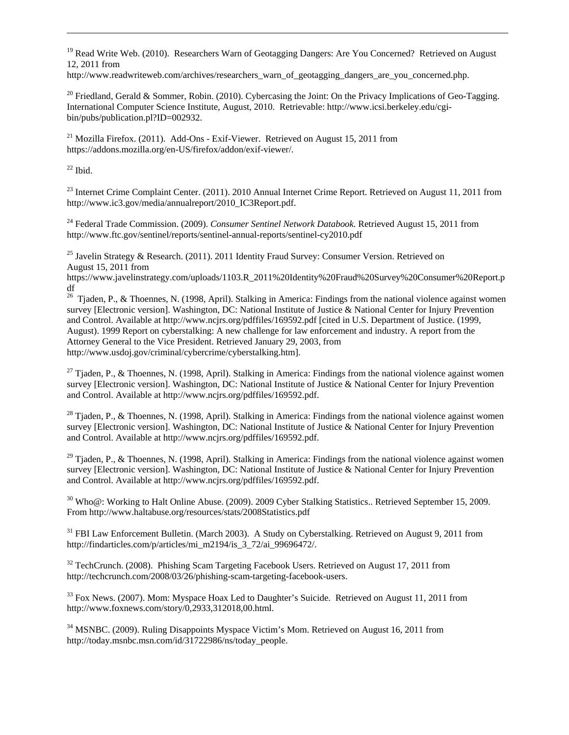<sup>19</sup> Read Write Web. (2010). Researchers Warn of Geotagging Dangers: Are You Concerned? Retrieved on August 12, 2011 from

http://www.readwriteweb.com/archives/researchers\_warn\_of\_geotagging\_dangers\_are\_you\_concerned.php.

<sup>20</sup> Friedland, Gerald & Sommer, Robin. (2010). Cybercasing the Joint: On the Privacy Implications of Geo-Tagging. International Computer Science Institute, August, 2010. Retrievable: http://www.icsi.berkeley.edu/cgibin/pubs/publication.pl?ID=002932.

 $^{21}$  Mozilla Firefox. (2011). Add-Ons - Exif-Viewer. Retrieved on August 15, 2011 from https://addons.mozilla.org/en-US/firefox/addon/exif-viewer/.

 $22$  Ibid.

 $\overline{a}$ 

<sup>23</sup> Internet Crime Complaint Center. (2011). 2010 Annual Internet Crime Report. Retrieved on August 11, 2011 from http://www.ic3.gov/media/annualreport/2010\_IC3Report.pdf.

24 Federal Trade Commission. (2009). *Consumer Sentinel Network Databook.* Retrieved August 15, 2011 from http://www.ftc.gov/sentinel/reports/sentinel-annual-reports/sentinel-cy2010.pdf

<sup>25</sup> Javelin Strategy & Research. (2011). 2011 Identity Fraud Survey: Consumer Version. Retrieved on August 15, 2011 from

https://www.javelinstrategy.com/uploads/1103.R\_2011%20Identity%20Fraud%20Survey%20Consumer%20Report.p df

<sup>26</sup> Tiaden, P., & Thoennes, N. (1998, April). Stalking in America: Findings from the national violence against women survey [Electronic version]. Washington, DC: National Institute of Justice & National Center for Injury Prevention and Control. Available at http://www.ncjrs.org/pdffiles/169592.pdf [cited in U.S. Department of Justice. (1999, August). 1999 Report on cyberstalking: A new challenge for law enforcement and industry. A report from the Attorney General to the Vice President. Retrieved January 29, 2003, from http://www.usdoj.gov/criminal/cybercrime/cyberstalking.htm].

<sup>27</sup> Tjaden, P., & Thoennes, N. (1998, April). Stalking in America: Findings from the national violence against women survey [Electronic version]. Washington, DC: National Institute of Justice & National Center for Injury Prevention and Control. Available at http://www.ncjrs.org/pdffiles/169592.pdf.

 $^{28}$  Tjaden, P., & Thoennes, N. (1998, April). Stalking in America: Findings from the national violence against women survey [Electronic version]. Washington, DC: National Institute of Justice & National Center for Injury Prevention and Control. Available at http://www.ncjrs.org/pdffiles/169592.pdf.

 $29$  Tjaden, P., & Thoennes, N. (1998, April). Stalking in America: Findings from the national violence against women survey [Electronic version]. Washington, DC: National Institute of Justice & National Center for Injury Prevention and Control. Available at http://www.ncjrs.org/pdffiles/169592.pdf.

30 Who@: Working to Halt Online Abuse. (2009). 2009 Cyber Stalking Statistics.. Retrieved September 15, 2009. From http://www.haltabuse.org/resources/stats/2008Statistics.pdf

<sup>31</sup> FBI Law Enforcement Bulletin. (March 2003). A Study on Cyberstalking. Retrieved on August 9, 2011 from http://findarticles.com/p/articles/mi\_m2194/is\_3\_72/ai\_99696472/.

 $32$  TechCrunch. (2008). Phishing Scam Targeting Facebook Users. Retrieved on August 17, 2011 from http://techcrunch.com/2008/03/26/phishing-scam-targeting-facebook-users.

<sup>33</sup> Fox News. (2007). Mom: Myspace Hoax Led to Daughter's Suicide. Retrieved on August 11, 2011 from http://www.foxnews.com/story/0,2933,312018,00.html.

<sup>34</sup> MSNBC. (2009). Ruling Disappoints Myspace Victim's Mom. Retrieved on August 16, 2011 from http://today.msnbc.msn.com/id/31722986/ns/today\_people.